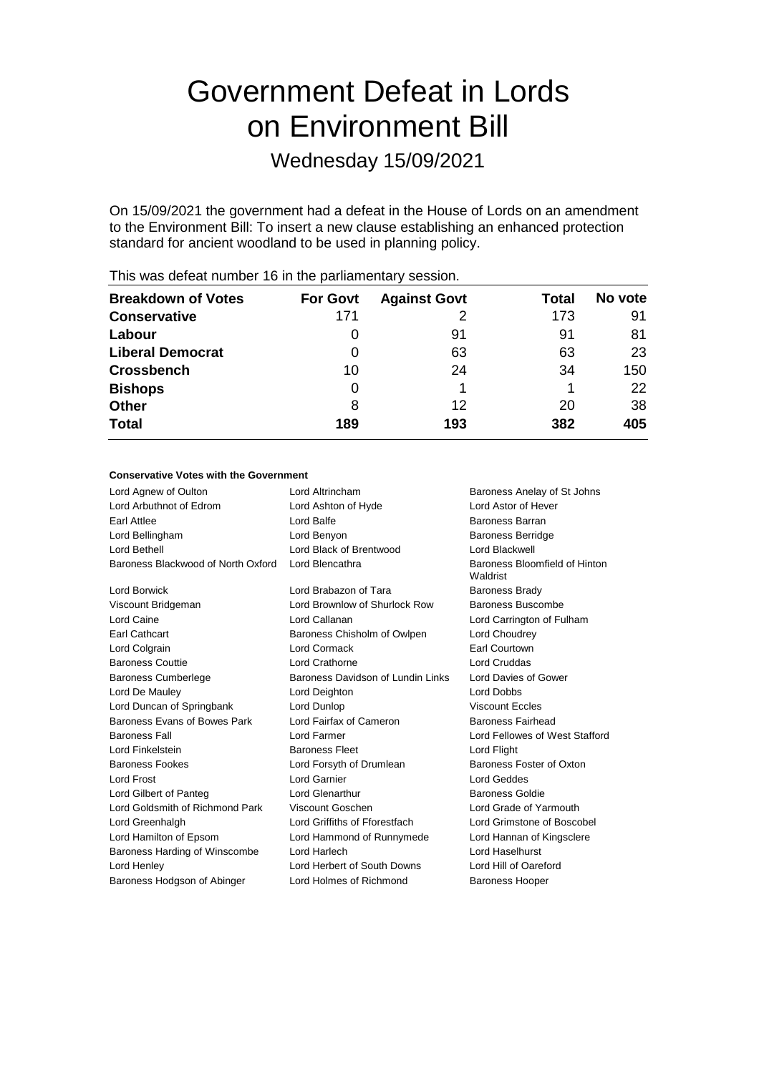# Government Defeat in Lords on Environment Bill

Wednesday 15/09/2021

On 15/09/2021 the government had a defeat in the House of Lords on an amendment to the Environment Bill: To insert a new clause establishing an enhanced protection standard for ancient woodland to be used in planning policy.

| <b>Breakdown of Votes</b> | <b>For Govt</b> | <b>Against Govt</b> | Total | No vote |
|---------------------------|-----------------|---------------------|-------|---------|
| <b>Conservative</b>       | 171             |                     | 173   | 91      |
| Labour                    | 0               | 91                  | 91    | 81      |
| <b>Liberal Democrat</b>   | 0               | 63                  | 63    | 23      |
| <b>Crossbench</b>         | 10              | 24                  | 34    | 150     |
| <b>Bishops</b>            | 0               |                     |       | 22      |
| <b>Other</b>              | 8               | 12                  | 20    | 38      |
| <b>Total</b>              | 189             | 193                 | 382   | 405     |
|                           |                 |                     |       |         |

This was defeat number 16 in the parliamentary session.

#### **Conservative Votes with the Government**

| Lord Agnew of Oulton               | Lord Altrincham                   | Baroness Anelay of St Johns               |
|------------------------------------|-----------------------------------|-------------------------------------------|
| Lord Arbuthnot of Edrom            | Lord Ashton of Hyde               | Lord Astor of Hever                       |
| Earl Attlee                        | Lord Balfe                        | Baroness Barran                           |
| Lord Bellingham                    | Lord Benyon                       | <b>Baroness Berridge</b>                  |
| Lord Bethell                       | Lord Black of Brentwood           | Lord Blackwell                            |
| Baroness Blackwood of North Oxford | Lord Blencathra                   | Baroness Bloomfield of Hinton<br>Waldrist |
| Lord Borwick                       | Lord Brabazon of Tara             | <b>Baroness Brady</b>                     |
| Viscount Bridgeman                 | Lord Brownlow of Shurlock Row     | Baroness Buscombe                         |
| Lord Caine                         | Lord Callanan                     | Lord Carrington of Fulham                 |
| Earl Cathcart                      | Baroness Chisholm of Owlpen       | Lord Choudrey                             |
| Lord Colgrain                      | Lord Cormack                      | Earl Courtown                             |
| <b>Baroness Couttie</b>            | Lord Crathorne                    | Lord Cruddas                              |
| <b>Baroness Cumberlege</b>         | Baroness Davidson of Lundin Links | Lord Davies of Gower                      |
| Lord De Mauley                     | Lord Deighton                     | <b>Lord Dobbs</b>                         |
| Lord Duncan of Springbank          | Lord Dunlop                       | <b>Viscount Eccles</b>                    |
| Baroness Evans of Bowes Park       | Lord Fairfax of Cameron           | <b>Baroness Fairhead</b>                  |
| <b>Baroness Fall</b>               | Lord Farmer                       | Lord Fellowes of West Stafford            |
| Lord Finkelstein                   | <b>Baroness Fleet</b>             | Lord Flight                               |
| <b>Baroness Fookes</b>             | Lord Forsyth of Drumlean          | Baroness Foster of Oxton                  |
| <b>Lord Frost</b>                  | Lord Garnier                      | <b>Lord Geddes</b>                        |
| Lord Gilbert of Panteg             | Lord Glenarthur                   | Baroness Goldie                           |
| Lord Goldsmith of Richmond Park    | Viscount Goschen                  | Lord Grade of Yarmouth                    |
| Lord Greenhalgh                    | Lord Griffiths of Fforestfach     | Lord Grimstone of Boscobel                |
| Lord Hamilton of Epsom             | Lord Hammond of Runnymede         | Lord Hannan of Kingsclere                 |
| Baroness Harding of Winscombe      | Lord Harlech                      | Lord Haselhurst                           |
| Lord Henley                        | Lord Herbert of South Downs       | Lord Hill of Oareford                     |
| Baroness Hodgson of Abinger        | Lord Holmes of Richmond           | <b>Baroness Hooper</b>                    |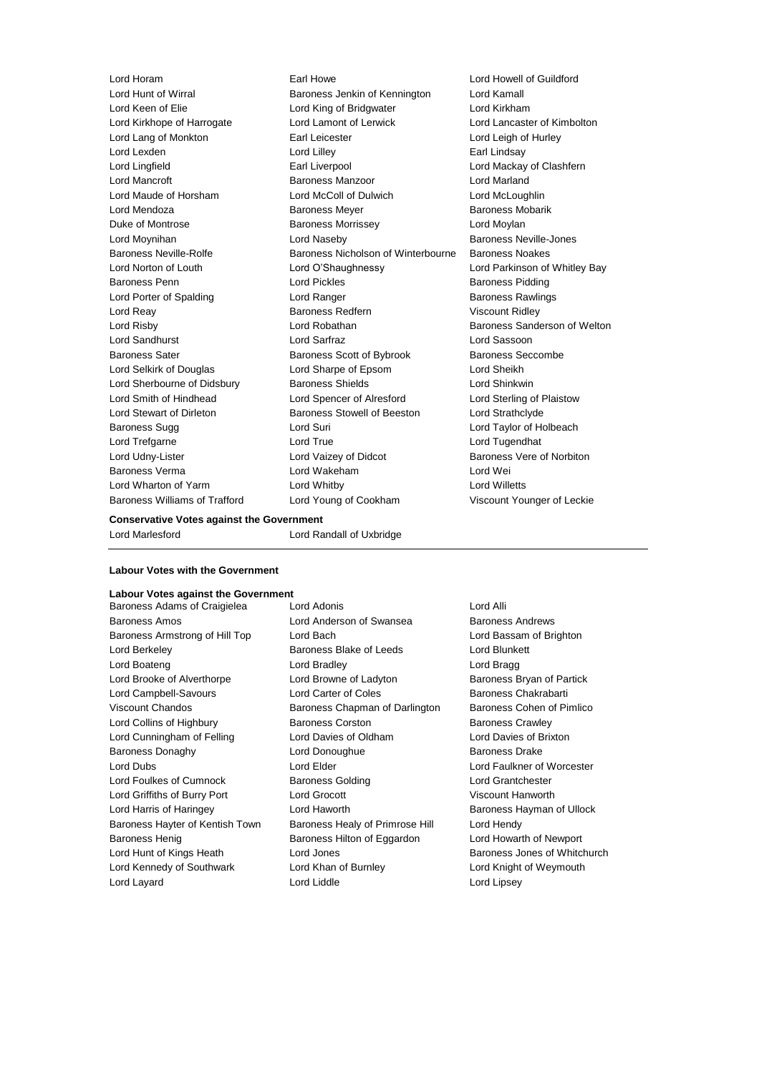Lord Horam Earl Howe Lord Howell of Guildford Lord Hunt of Wirral **Baroness Jenkin of Kennington** Lord Kamall Lord Keen of Elie Lord King of Bridgwater Lord Kirkham Lord Kirkhope of Harrogate Lord Lamont of Lerwick Lord Lancaster of Kimbolton Lord Lang of Monkton Earl Leicester Lord Leigh of Hurley Lord Lexden **Lord Lilley** Lord Lilley **Carl Lindsay** Lord Lingfield **Earl Liverpool** Earl Liverpool **Earl Lord Mackay of Clashfern** Lord Mancroft Baroness Manzoor Lord Marland Lord Maude of Horsham Lord McColl of Dulwich Lord McLoughlin Lord Mendoza **Baroness Meyer** Baroness Meyer Baroness Mobarik Duke of Montrose Baroness Morrissey Lord Moylan Lord Moynihan **Lord Naseby Baroness Neville-Jones** Lord Naseby Baroness Neville-Rolfe **Baroness Nicholson of Winterbourne** Baroness Noakes Lord Norton of Louth Lord O'Shaughnessy Lord Parkinson of Whitley Bay Baroness Penn **Example 2** Lord Pickles **Baroness Pidding** Baroness Pidding Lord Porter of Spalding **Lord Ranger** Lord Ranger **Baroness Rawlings** Lord Reay **Baroness Redfern** Viscount Ridley Viscount Ridley Lord Risby **Lord Robathan** Baroness Sanderson of Welton Lord Sandhurst Lord Sarfraz Lord Sassoon Baroness Sater Baroness Scott of Bybrook Baroness Seccombe Lord Selkirk of Douglas Lord Sharpe of Epsom Lord Sheikh Lord Sherbourne of Didsbury Baroness Shields Lord Shinkwin Lord Smith of Hindhead Lord Spencer of Alresford Lord Sterling of Plaistow Lord Stewart of Dirleton Baroness Stowell of Beeston Lord Strathclyde Baroness Sugg Lord Suri Lord Taylor of Holbeach Lord Trefgarne Lord True Lord Tugendhat Lord Udny-Lister **Lord Vaizey of Didcot** Baroness Vere of Norbiton Baroness Verma Lord Wakeham Lord Wei Lord Wharton of Yarm Lord Whitby Lord Willetts Baroness Williams of Trafford Lord Young of Cookham Viscount Younger of Leckie

#### **Conservative Votes against the Government**

Lord Marlesford Lord Randall of Uxbridge

#### **Labour Votes with the Government**

## **Labour Votes against the Government**

Baroness Adams of Craigielea Lord Adonis Cord Adonis Baroness Amos **Baroness Andrews** Lord Anderson of Swansea Baroness Andrews Baroness Armstrong of Hill Top Lord Bach Lord Bassam of Brighton Lord Berkeley **Baroness Blake of Leeds** Lord Blunkett Lord Boateng Lord Bradley Lord Bragg Lord Brooke of Alverthorpe Lord Browne of Ladyton Baroness Bryan of Partick Lord Campbell-Savours **Lord Carter of Coles** Baroness Chakrabarti Viscount Chandos **Baroness Chapman of Darlington** Baroness Cohen of Pimlico Lord Collins of Highbury **Baroness Corston** Baroness Corston Baroness Crawley Lord Cunningham of Felling Lord Davies of Oldham Lord Davies of Brixton Baroness Donaghy Lord Donoughue Baroness Drake Lord Dubs Lord Elder Lord Faulkner of Worcester Lord Foulkes of Cumnock **Baroness Golding Baroness Golding** Lord Grantchester Lord Griffiths of Burry Port Lord Grocott Viscount Hanworth Lord Harris of Haringey **Lord Haworth Lord Haworth** Baroness Hayman of Ullock Baroness Hayter of Kentish Town Baroness Healy of Primrose Hill Lord Hendy Baroness Henig Baroness Hilton of Eggardon Lord Howarth of Newport Lord Hunt of Kings Heath **Lord Jones Conserverse Conserverse Baroness Jones of Whitchurch** Lord Kennedy of Southwark Lord Khan of Burnley Cord Knight of Weymouth Lord Layard Lord Liddle Lord Lipsey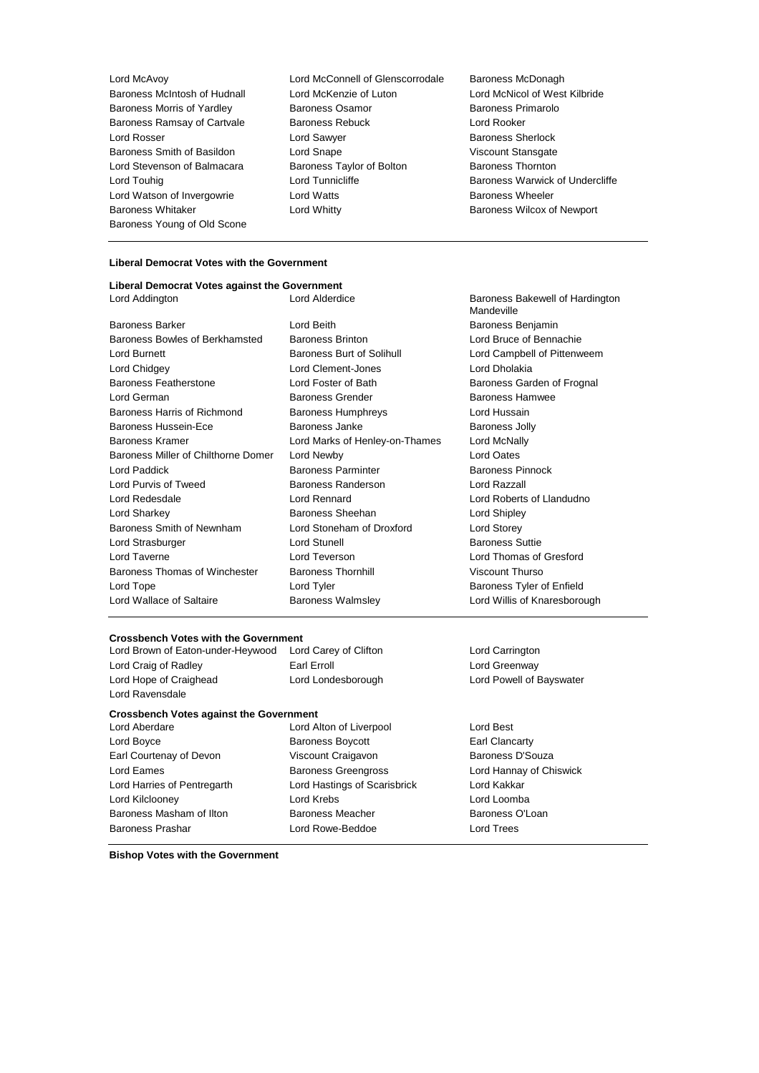Baroness Morris of Yardley Baroness Osamor Baroness Young of Old Scone

Lord McAvoy Lord McConnell of Glenscorrodale Baroness McDonagh Baroness McIntosh of Hudnall Lord McKenzie of Luton Lord McNicol of West Kilbride<br>
Baroness Morris of Yardlev Baroness Osamor Baroness Primarolo Baroness Ramsay of Cartvale **Baroness Rebuck Lord Rooker** Lord Rosser Lord Sawyer Baroness Sherlock Baroness Smith of Basildon **Lord Snape Viscount Stansgate** Lord Stevenson of Balmacara Baroness Taylor of Bolton Baroness Thornton Lord Touhig **Lord Tunnicliffe Baroness Warwick of Undercliffe Lord Tunnicliffe Baroness Warwick of Undercliffe** Lord Watson of Invergowrie Lord Watts Baroness Wheeler Baroness Whitaker **Lord Whitty Lord Whitty Baroness Wilcox of Newport** 

#### **Liberal Democrat Votes with the Government**

#### **Liberal Democrat Votes against the Government** Lord Addington Lord Alderdice Baroness Bakewell of Hardington

Baroness Bowles of Berkhamsted Baroness Brinton Lord Bruce of Bennachie Lord Burnett **Baroness Burt of Solihull** Lord Campbell of Pittenweem Lord Chidgey Lord Clement-Jones Lord Dholakia Baroness Featherstone **Lord Foster of Bath** Baroness Garden of Frognal Lord German **Baroness Grender** Baroness Hamwee Baroness Hamwee Baroness Harris of Richmond Baroness Humphreys Lord Hussain Baroness Hussein-Ece **Baroness Janke** Baroness Janke **Baroness Jolly** Baroness Kramer Lord Marks of Henley-on-Thames Lord McNally Baroness Miller of Chilthorne Domer Lord Newby Lord Cates Lord Paddick **Baroness Parminter** Baroness Parminter Baroness Pinnock Lord Purvis of Tweed Baroness Randerson Lord Razzall Lord Redesdale Lord Rennard Lord Roberts of Llandudno Lord Sharkey Baroness Sheehan Lord Shipley Baroness Smith of Newnham Lord Stoneham of Droxford Lord Storey Lord Strasburger **Lord Stunell** Baroness Suttie Lord Taverne Lord Teverson Lord Thomas of Gresford Baroness Thomas of Winchester Baroness Thornhill Viscount Thurso Lord Tope **Lord Tyler Lord Tyler Baroness Tyler of Enfield** Lord Wallace of Saltaire **Baroness Walmsley Lord Willis of Knaresborough** Lord Willis of Knaresborough

Baroness Barker **Lord Beith** Lord Beith Baroness Benjamin

#### **Crossbench Votes with the Government**

Lord Brown of Eaton-under-Heywood Lord Carey of Clifton Lord Carrington Lord Carrington Lord Craig of Radley **Earl Erroll** Earl Erroll **Lord Greenway** Lord Hope of Craighead Lord Londesborough Lord Powell of Bayswater Lord Ravensdale

#### **Crossbench Votes against the Government**

Lord Boyce **Baroness Boycott Earl Clancarty** Earl Clancarty Earl Courtenay of Devon **Viscount Craigavon** Baroness D'Souza Lord Eames **Baroness Greengross** Lord Hannay of Chiswick Lord Harries of Pentregarth Lord Hastings of Scarisbrick Lord Kakkar Lord Kilclooney Lord Krebs Lord Loomba Baroness Masham of Ilton Baroness Meacher Baroness O'Loan Baroness Prashar Lord Rowe-Beddoe Lord Trees

Lord Aberdare Lord Alton of Liverpool Lord Best

Mandeville

**Bishop Votes with the Government**